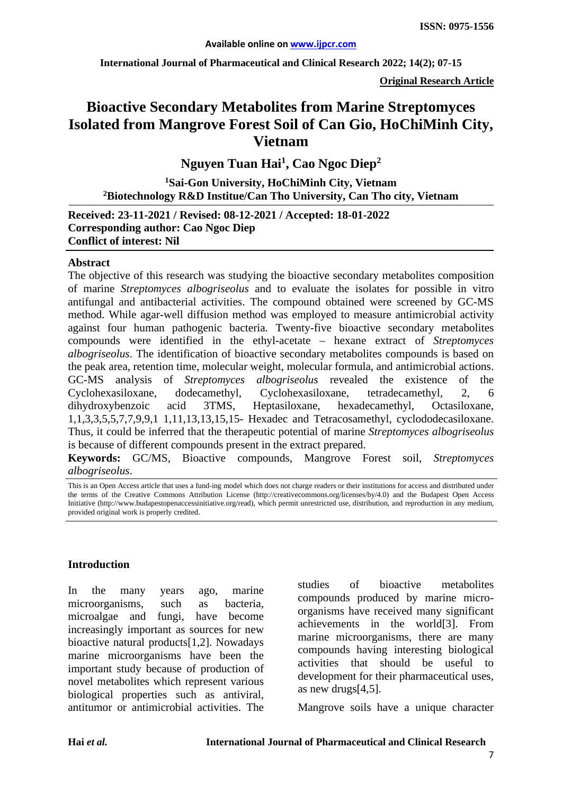**International Journal of Pharmaceutical and Clinical Research 2022; 14(2); 07-15** 

**Original Research Article**

# **Bioactive Secondary Metabolites from Marine Streptomyces Isolated from Mangrove Forest Soil of Can Gio, HoChiMinh City, Vietnam**

**Nguyen Tuan Hai1 , Cao Ngoc Diep2**

**1Sai-Gon University, HoChiMinh City, Vietnam 2Biotechnology R&D Institue/Can Tho University, Can Tho city, Vietnam** 

**Received: 23-11-2021 / Revised: 08-12-2021 / Accepted: 18-01-2022 Corresponding author: Cao Ngoc Diep Conflict of interest: Nil**

### **Abstract**

The objective of this research was studying the bioactive secondary metabolites composition of marine *Streptomyces albogriseolus* and to evaluate the isolates for possible in vitro antifungal and antibacterial activities. The compound obtained were screened by GC-MS method. While agar-well diffusion method was employed to measure antimicrobial activity against four human pathogenic bacteria. Twenty-five bioactive secondary metabolites compounds were identified in the ethyl-acetate – hexane extract of *Streptomyces albogriseolus*. The identification of bioactive secondary metabolites compounds is based on the peak area, retention time, molecular weight, molecular formula, and antimicrobial actions. GC-MS analysis of *Streptomyces albogriseolus* revealed the existence of the Cyclohexasiloxane, dodecamethyl, Cyclohexasiloxane, tetradecamethyl, 2, 6 dihydroxybenzoic acid 3TMS, Heptasiloxane, hexadecamethyl, Octasiloxane, 1,1,3,3,5,5,7,7,9,9,1 1,11,13,13,15,15- Hexadec and Tetracosamethyl, cyclododecasiloxane. Thus, it could be inferred that the therapeutic potential of marine *Streptomyces albogriseolus* is because of different compounds present in the extract prepared.

**Keywords:** GC/MS, Bioactive compounds, Mangrove Forest soil, *Streptomyces albogriseolus*.

### **Introduction**

In the many years ago, marine microorganisms, such as bacteria, microalgae and fungi, have become increasingly important as sources for new bioactive natural products[1,2]. Nowadays marine microorganisms have been the important study because of production of novel metabolites which represent various biological properties such as antiviral, antitumor or antimicrobial activities. The

studies of bioactive metabolites compounds produced by marine microorganisms have received many significant achievements in the world[3]. From marine microorganisms, there are many compounds having interesting biological activities that should be useful to development for their pharmaceutical uses, as new drugs[4,5].

Mangrove soils have a unique character

This is an Open Access article that uses a fund-ing model which does not charge readers or their institutions for access and distributed under the terms of the Creative Commons Attribution License (http://creativecommons.org/licenses/by/4.0) and the Budapest Open Access Initiative (http://www.budapestopenaccessinitiative.org/read), which permit unrestricted use, distribution, and reproduction in any medium, provided original work is properly credited.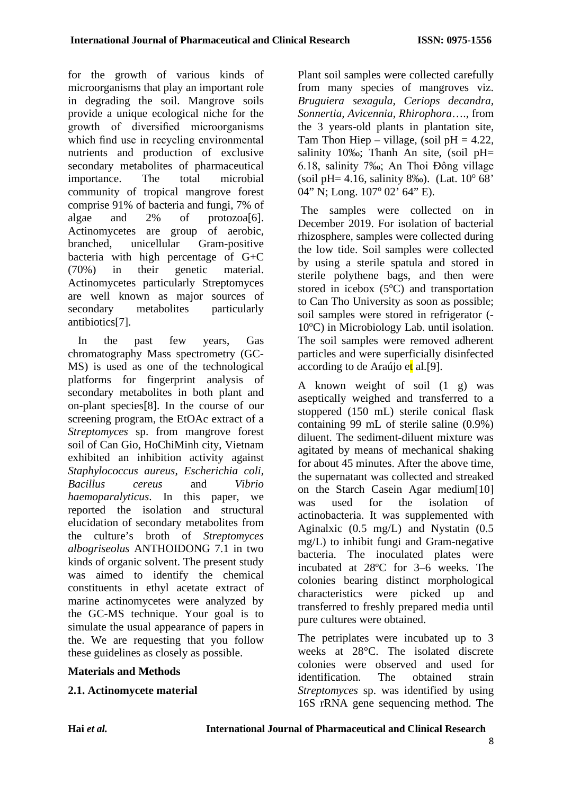for the growth of various kinds of microorganisms that play an important role in degrading the soil. Mangrove soils provide a unique ecological niche for the growth of diversified microorganisms which find use in recycling environmental nutrients and production of exclusive secondary metabolites of pharmaceutical importance. The total microbial community of tropical mangrove forest comprise 91% of bacteria and fungi, 7% of algae and 2% of protozoa[6]. Actinomycetes are group of aerobic, branched, unicellular Gram-positive bacteria with high percentage of G+C (70%) in their genetic material. Actinomycetes particularly Streptomyces are well known as major sources of secondary metabolites particularly antibiotics[7].

In the past few years, Gas chromatography Mass spectrometry (GC-MS) is used as one of the technological platforms for fingerprint analysis of secondary metabolites in both plant and on-plant species[8]. In the course of our screening program, the EtOAc extract of a *Streptomyces* sp. from mangrove forest soil of Can Gio, HoChiMinh city, Vietnam exhibited an inhibition activity against *Staphylococcus aureus*, *Escherichia coli, Bacillus cereus* and *Vibrio haemoparalyticus*. In this paper, we reported the isolation and structural elucidation of secondary metabolites from the culture's broth of *Streptomyces albogriseolus* ANTHOIDONG 7.1 in two kinds of organic solvent. The present study was aimed to identify the chemical constituents in ethyl acetate extract of marine actinomycetes were analyzed by the GC-MS technique. Your goal is to simulate the usual appearance of papers in the. We are requesting that you follow these guidelines as closely as possible.

## **Materials and Methods**

**2.1. Actinomycete material** 

Plant soil samples were collected carefully from many species of mangroves viz. *Bruguiera sexagula, Ceriops decandra, Sonnertia, Avicennia, Rhirophora*…., from the 3 years-old plants in plantation site, Tam Thon Hiep – village, (soil  $pH = 4.22$ , salinity 10‰; Thanh An site, (soil pH= 6.18, salinity 7‰; An Thoi Đông village (soil pH= 4.16, salinity 8‰). (Lat.  $10^{\circ}$  68' 04" N; Long. 107° 02' 64" E).

 The samples were collected on in December 2019. For isolation of bacterial rhizosphere, samples were collected during the low tide. Soil samples were collected by using a sterile spatula and stored in sterile polythene bags, and then were stored in icebox  $(5^{\circ}C)$  and transportation to Can Tho University as soon as possible; soil samples were stored in refrigerator (- 10°C) in Microbiology Lab. until isolation. The soil samples were removed adherent particles and were superficially disinfected according to de Araújo et al. [9].

A known weight of soil (1 g) was aseptically weighed and transferred to a stoppered (150 mL) sterile conical flask containing 99 mL of sterile saline (0.9%) diluent. The sediment-diluent mixture was agitated by means of mechanical shaking for about 45 minutes. After the above time, the supernatant was collected and streaked on the Starch Casein Agar medium[10] was used for the isolation of actinobacteria. It was supplemented with Aginalxic (0.5 mg/L) and Nystatin (0.5 mg/L) to inhibit fungi and Gram-negative bacteria. The inoculated plates were incubated at 28ºC for 3–6 weeks. The colonies bearing distinct morphological characteristics were picked up and transferred to freshly prepared media until pure cultures were obtained.

The petriplates were incubated up to 3 weeks at 28°C. The isolated discrete colonies were observed and used for identification. The obtained strain *Streptomyces* sp. was identified by using 16S rRNA gene sequencing method. The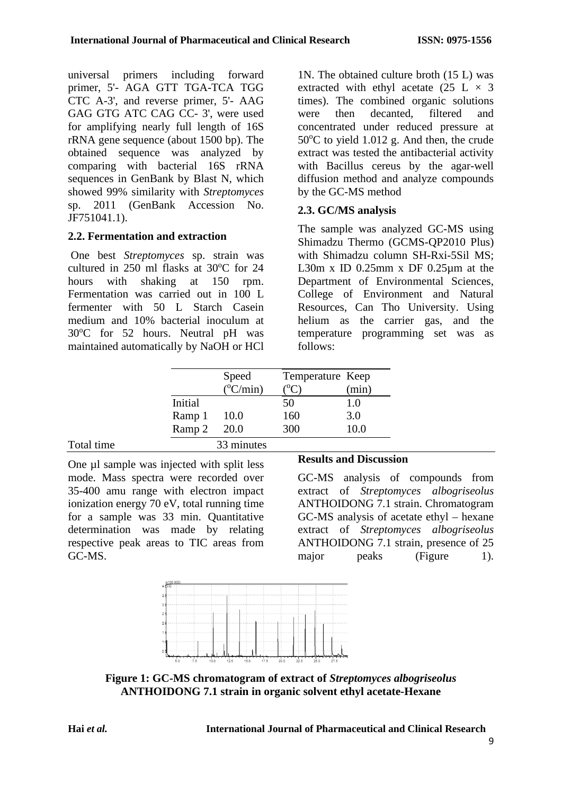universal primers including forward primer, 5'- AGA GTT TGA-TCA TGG CTC A-3', and reverse primer, 5'- AAG GAG GTG ATC CAG CC- 3', were used for amplifying nearly full length of 16S rRNA gene sequence (about 1500 bp). The obtained sequence was analyzed by comparing with bacterial 16S rRNA sequences in GenBank by Blast N, which showed 99% similarity with *Streptomyces* sp. 2011 (GenBank Accession No. JF751041.1).

# **2.2. Fermentation and extraction**

One best *Streptomyces* sp. strain was cultured in  $250$  ml flasks at  $30^{\circ}$ C for  $24$ hours with shaking at 150 rpm. Fermentation was carried out in 100 L fermenter with 50 L Starch Casein medium and 10% bacterial inoculum at 30°C for 52 hours. Neutral pH was maintained automatically by NaOH or HCl 1N. The obtained culture broth (15 L) was extracted with ethyl acetate (25 L  $\times$  3 times). The combined organic solutions were then decanted, filtered and concentrated under reduced pressure at 50°C to yield 1.012 g. And then, the crude extract was tested the antibacterial activity with Bacillus cereus by the agar-well diffusion method and analyze compounds by the GC-MS method

# **2.3. GC/MS analysis**

The sample was analyzed GC-MS using Shimadzu Thermo (GCMS-QP2010 Plus) with Shimadzu column SH-Rxi-5Sil MS; L30m x ID 0.25mm x DF 0.25 $\mu$ m at the Department of Environmental Sciences, College of Environment and Natural Resources, Can Tho University. Using helium as the carrier gas, and the temperature programming set was as follows:

|            |         | Speed<br>$(^{\circ}C/min)$ | Temperature Keep | (min) |
|------------|---------|----------------------------|------------------|-------|
|            | Initial |                            | 50               | 1.0   |
|            | Ramp 1  | 10.0                       | 160              | 3.0   |
|            | Ramp 2  | 20.0                       | 300              | 10.0  |
| Total time |         | 33 minutes                 |                  |       |

One µl sample was injected with split less mode. Mass spectra were recorded over 35-400 amu range with electron impact ionization energy 70 eV, total running time for a sample was 33 min. Quantitative determination was made by relating respective peak areas to TIC areas from GC-MS.

## **Results and Discussion**

GC-MS analysis of compounds from extract of *Streptomyces albogriseolus*  ANTHOIDONG 7.1 strain. Chromatogram GC-MS analysis of acetate ethyl – hexane extract of *Streptomyces albogriseolus*  ANTHOIDONG 7.1 strain, presence of 25 major peaks (Figure 1).



**Figure 1: GC-MS chromatogram of extract of** *Streptomyces albogriseolus*  **ANTHOIDONG 7.1 strain in organic solvent ethyl acetate-Hexane**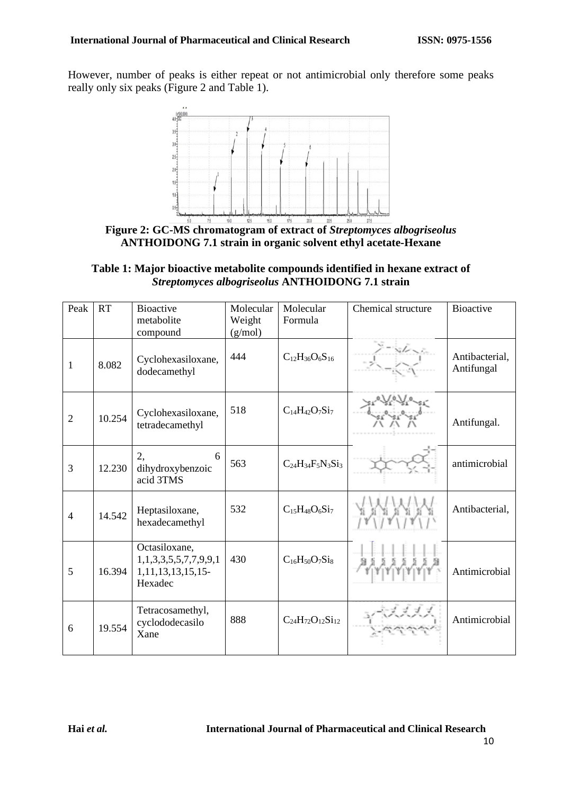However, number of peaks is either repeat or not antimicrobial only therefore some peaks really only six peaks (Figure 2 and Table 1).



**Figure 2: GC-MS chromatogram of extract of** *Streptomyces albogriseolus*  **ANTHOIDONG 7.1 strain in organic solvent ethyl acetate-Hexane** 

| Table 1: Major bioactive metabolite compounds identified in hexane extract of |  |
|-------------------------------------------------------------------------------|--|
| <i>Streptomyces albogriseolus ANTHOIDONG 7.1 strain</i>                       |  |

| Peak           | <b>RT</b> | <b>Bioactive</b><br>metabolite<br>compound                                  | Molecular<br>Weight<br>(g/mol) | Molecular<br>Formula        | Chemical structure | <b>Bioactive</b>             |
|----------------|-----------|-----------------------------------------------------------------------------|--------------------------------|-----------------------------|--------------------|------------------------------|
| $\mathbf{1}$   | 8.082     | Cyclohexasiloxane,<br>dodecamethyl                                          | 444                            | $C_{12}H_{36}O_6S_{16}$     |                    | Antibacterial,<br>Antifungal |
| $\overline{2}$ | 10.254    | Cyclohexasiloxane,<br>tetradecamethyl                                       | 518                            | $C_{14}H_{42}O_7Si_7$       |                    | Antifungal.                  |
| 3              | 12.230    | 2,<br>6<br>dihydroxybenzoic<br>acid 3TMS                                    | 563                            | $C_{24}H_{34}F_5N_3Si_3$    |                    | antimicrobial                |
| $\overline{4}$ | 14.542    | Heptasiloxane,<br>hexadecamethyl                                            | 532                            | $C_{15}H_{48}O_6Si_7$       |                    | Antibacterial,               |
| 5              | 16.394    | Octasiloxane,<br>1,1,3,3,5,5,7,7,9,9,1<br>1, 11, 13, 13, 15, 15-<br>Hexadec | 430                            | $C_{16}H_{50}O_7Si_8$       |                    | Antimicrobial                |
| 6              | 19.554    | Tetracosamethyl,<br>cyclododecasilo<br>Xane                                 | 888                            | $C_{24}H_{72}O_{12}Si_{12}$ |                    | Antimicrobial                |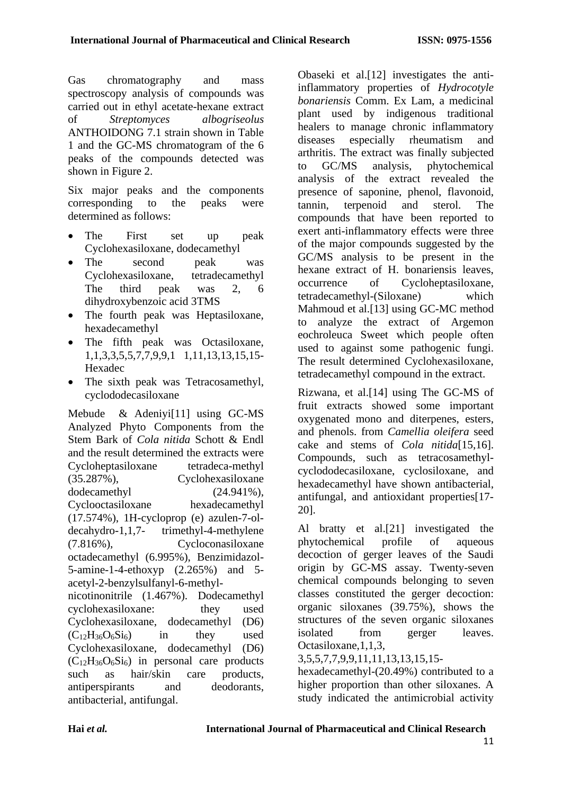Gas chromatography and mass spectroscopy analysis of compounds was carried out in ethyl acetate-hexane extract of *Streptomyces albogriseolus*  ANTHOIDONG 7.1 strain shown in Table 1 and the GC-MS chromatogram of the 6 peaks of the compounds detected was shown in Figure 2.

Six major peaks and the components corresponding to the peaks were determined as follows:

- The First set up peak Cyclohexasiloxane, dodecamethyl
- The second peak was Cyclohexasiloxane, tetradecamethyl The third peak was 2, 6 dihydroxybenzoic acid 3TMS
- The fourth peak was Heptasiloxane, hexadecamethyl
- The fifth peak was Octasiloxane, 1,1,3,3,5,5,7,7,9,9,1 1,11,13,13,15,15- Hexadec
- The sixth peak was Tetracosamethyl, cyclododecasiloxane

Mebude & Adeniyi[11] using GC-MS Analyzed Phyto Components from the Stem Bark of *Cola nitida* Schott & Endl and the result determined the extracts were Cycloheptasiloxane tetradeca-methyl (35.287%), Cyclohexasiloxane dodecamethyl (24.941%), Cyclooctasiloxane hexadecamethyl (17.574%), 1H-cycloprop (e) azulen-7-oldecahydro-1,1,7- trimethyl-4-methylene (7.816%), Cycloconasiloxane octadecamethyl (6.995%), Benzimidazol-5-amine-1-4-ethoxyp (2.265%) and 5 acetyl-2-benzylsulfanyl-6-methylnicotinonitrile (1.467%). Dodecamethyl cyclohexasiloxane: they used Cyclohexasiloxane, dodecamethyl (D6)  $(C_{12}H_{36}O_6Si_6)$  in they used Cyclohexasiloxane, dodecamethyl (D6)  $(C_{12}H_{36}O_6Si_6)$  in personal care products such as hair/skin care products, antiperspirants and deodorants, antibacterial, antifungal.

Obaseki et al.[12] investigates the antiinflammatory properties of *Hydrocotyle bonariensis* Comm. Ex Lam, a medicinal plant used by indigenous traditional healers to manage chronic inflammatory diseases especially rheumatism and arthritis. The extract was finally subjected to GC/MS analysis, phytochemical analysis of the extract revealed the presence of saponine, phenol, flavonoid, tannin, terpenoid and sterol. The compounds that have been reported to exert anti-inflammatory effects were three of the major compounds suggested by the GC/MS analysis to be present in the hexane extract of H. bonariensis leaves, occurrence of Cycloheptasiloxane, tetradecamethyl-(Siloxane) which Mahmoud et al.<sup>[13]</sup> using GC-MC method to analyze the extract of Argemon eochroleuca Sweet which people often used to against some pathogenic fungi. The result determined Cyclohexasiloxane, tetradecamethyl compound in the extract.

Rizwana, et al.[14] using The GC-MS of fruit extracts showed some important oxygenated mono and diterpenes, esters, and phenols. from *Camellia oleifera* seed cake and stems of *Cola nitida*[15,16]. Compounds, such as tetracosamethylcyclododecasiloxane, cyclosiloxane, and hexadecamethyl have shown antibacterial, antifungal, and antioxidant properties[17- 20].

Al bratty et al.[21] investigated the phytochemical profile of aqueous decoction of gerger leaves of the Saudi origin by GC-MS assay. Twenty-seven chemical compounds belonging to seven classes constituted the gerger decoction: organic siloxanes (39.75%), shows the structures of the seven organic siloxanes isolated from gerger leaves. Octasiloxane,1,1,3,

### 3,5,5,7,7,9,9,11,11,13,13,15,15-

hexadecamethyl-(20.49%) contributed to a higher proportion than other siloxanes. A study indicated the antimicrobial activity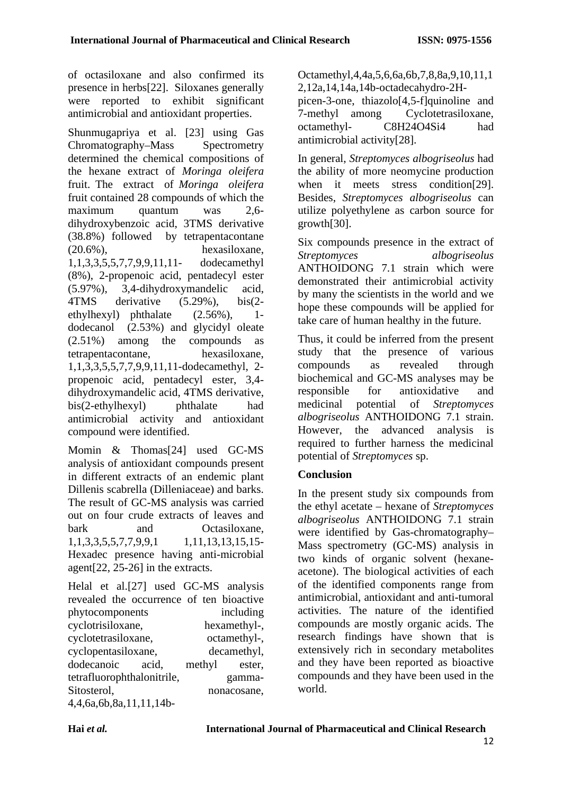of octasiloxane and also confirmed its presence in herbs[22]. Siloxanes generally were reported to exhibit significant antimicrobial and antioxidant properties.

Shunmugapriya et al. [23] using Gas Chromatography–Mass Spectrometry determined the chemical compositions of the hexane extract of *Moringa oleifera* fruit. The extract of *Moringa oleifera* fruit contained 28 compounds of which the maximum quantum was 2,6 dihydroxybenzoic acid, 3TMS derivative (38.8%) followed by tetrapentacontane (20.6%), hexasiloxane, 1,1,3,3,5,5,7,7,9,9,11,11- dodecamethyl (8%), 2-propenoic acid, pentadecyl ester (5.97%), 3,4-dihydroxymandelic acid, 4TMS derivative (5.29%), bis(2 ethylhexyl) phthalate (2.56%), 1 dodecanol (2.53%) and glycidyl oleate (2.51%) among the compounds as tetrapentacontane, hexasiloxane, 1,1,3,3,5,5,7,7,9,9,11,11-dodecamethyl, 2 propenoic acid, pentadecyl ester, 3,4 dihydroxymandelic acid, 4TMS derivative, bis(2-ethylhexyl) phthalate had antimicrobial activity and antioxidant compound were identified.

Momin & Thomas[24] used GC-MS analysis of antioxidant compounds present in different extracts of an endemic plant Dillenis scabrella (Dilleniaceae) and barks. The result of GC-MS analysis was carried out on four crude extracts of leaves and bark and Octasiloxane. 1,1,13,13,15,15-<br>1,11,13,13,15,15-Hexadec presence having anti-microbial agent[22, 25-26] in the extracts.

Helal et al.[27] used GC-MS analysis revealed the occurrence of ten bioactive phytocomponents including cyclotrisiloxane, hexamethyl-, cyclotetrasiloxane, octamethyl-, cyclopentasiloxane, decamethyl, dodecanoic acid, methyl ester, tetrafluorophthalonitrile, gamma-Sitosterol, nonacosane, 4,4,6a,6b,8a,11,11,14bOctamethyl,4,4a,5,6,6a,6b,7,8,8a,9,10,11,1 2,12a,14,14a,14b-octadecahydro-2H-

picen-3-one, thiazolo[4,5-f]quinoline and 7-methyl among Cyclotetrasiloxane, octamethyl- C8H24O4Si4 had antimicrobial activity[28].

In general, *Streptomyces albogriseolus* had the ability of more neomycine production when it meets stress condition<sup>[29]</sup>. Besides, *Streptomyces albogriseolus* can utilize polyethylene as carbon source for growth[30].

Six compounds presence in the extract of *Streptomyces albogriseolus* ANTHOIDONG 7.1 strain which were demonstrated their antimicrobial activity by many the scientists in the world and we hope these compounds will be applied for take care of human healthy in the future.

Thus, it could be inferred from the present study that the presence of various compounds as revealed through biochemical and GC-MS analyses may be responsible for antioxidative and medicinal potential of *Streptomyces albogriseolus* ANTHOIDONG 7.1 strain. However, the advanced analysis is required to further harness the medicinal potential of *Streptomyces* sp.

# **Conclusion**

In the present study six compounds from the ethyl acetate – hexane of *Streptomyces albogriseolus* ANTHOIDONG 7.1 strain were identified by Gas-chromatography– Mass spectrometry (GC-MS) analysis in two kinds of organic solvent (hexaneacetone). The biological activities of each of the identified components range from antimicrobial, antioxidant and anti-tumoral activities. The nature of the identified compounds are mostly organic acids. The research findings have shown that is extensively rich in secondary metabolites and they have been reported as bioactive compounds and they have been used in the world.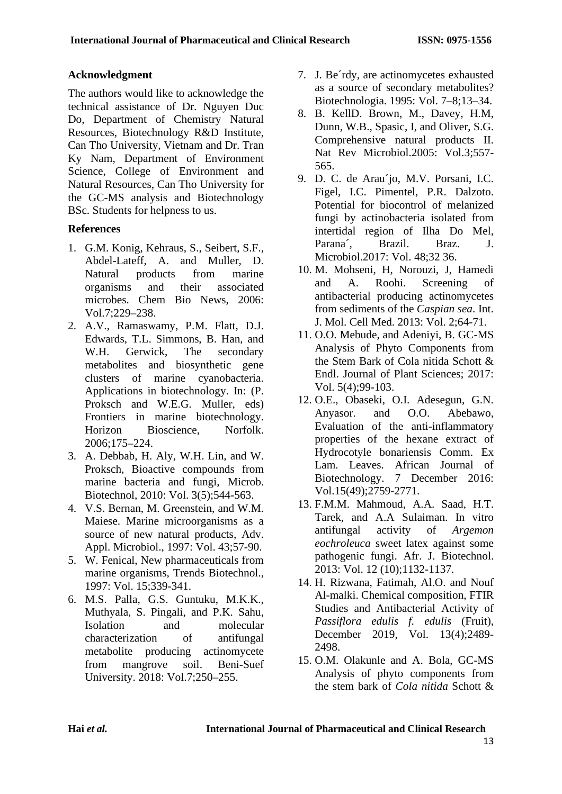# **Acknowledgment**

The authors would like to acknowledge the technical assistance of Dr. Nguyen Duc Do, Department of Chemistry Natural Resources, Biotechnology R&D Institute, Can Tho University, Vietnam and Dr. Tran Ky Nam, Department of Environment Science, College of Environment and Natural Resources, Can Tho University for the GC-MS analysis and Biotechnology BSc. Students for helpness to us.

# **References**

- 1. G.M. Konig, Kehraus, S., Seibert, S.F., Abdel-Lateff, A. and Muller, D. Natural products from marine<br>organisms and their associated organisms and their associated microbes. Chem Bio News, 2006: Vol.7;229–238.
- 2. A.V., Ramaswamy, P.M. Flatt, D.J. Edwards, T.L. Simmons, B. Han, and W.H. Gerwick, The secondary metabolites and biosynthetic gene clusters of marine cyanobacteria. Applications in biotechnology. In: (P. Proksch and W.E.G. Muller, eds) Frontiers in marine biotechnology. Horizon Bioscience, Norfolk. 2006;175–224.
- 3. A. Debbab, H. Aly, W.H. Lin, and W. Proksch, Bioactive compounds from marine bacteria and fungi, Microb. Biotechnol, 2010: Vol. 3(5);544-563.
- 4. V.S. Bernan, M. Greenstein, and W.M. Maiese. Marine microorganisms as a source of new natural products, Adv. Appl. Microbiol., 1997: Vol. 43;57-90.
- 5. W. Fenical, New pharmaceuticals from marine organisms, Trends Biotechnol., 1997: Vol. 15;339-341.
- 6. M.S. Palla, G.S. Guntuku, M.K.K., Muthyala, S. Pingali, and P.K. Sahu, Isolation and molecular characterization of antifungal metabolite producing actinomycete from mangrove soil. Beni-Suef University. 2018: Vol.7;250–255.
- 7. J. Be´rdy, are actinomycetes exhausted as a source of secondary metabolites? Biotechnologia. 1995: Vol. 7–8;13–34.
- 8. B. KellD. Brown, M., Davey, H.M, Dunn, W.B., Spasic, I, and Oliver, S.G. Comprehensive natural products II. Nat Rev Microbiol.2005: Vol.3;557- 565.
- 9. D. C. de Arau´jo, M.V. Porsani, I.C. Figel, I.C. Pimentel, P.R. Dalzoto. Potential for biocontrol of melanized fungi by actinobacteria isolated from intertidal region of Ilha Do Mel, Parana´, Brazil. Braz. J. Microbiol.2017: Vol. 48;32 36.
- 10. M. Mohseni, H, Norouzi, J, Hamedi and A. Roohi. Screening of antibacterial producing actinomycetes from sediments of the *Caspian sea*. Int. J. Mol. Cell Med. 2013: Vol. 2;64-71.
- 11. O.O. Mebude, and Adeniyi, B. GC-MS Analysis of Phyto Components from the Stem Bark of Cola nitida Schott & Endl. Journal of Plant Sciences; 2017: Vol. 5(4);99-103.
- 12. O.E., Obaseki, O.I. Adesegun, G.N. Anyasor. and O.O. Abebawo, Evaluation of the anti-inflammatory properties of the hexane extract of Hydrocotyle bonariensis Comm. Ex Lam. Leaves. African Journal of Biotechnology. 7 December 2016: Vol.15(49);2759-2771.
- 13. F.M.M. Mahmoud, A.A. Saad, H.T. Tarek, and A.A Sulaiman. In vitro antifungal activity of *Argemon eochroleuca* sweet latex against some pathogenic fungi. Afr. J. Biotechnol. 2013: Vol. 12 (10);1132-1137.
- 14. H. Rizwana, Fatimah, Al.O. and Nouf Al-malki. Chemical composition, FTIR Studies and Antibacterial Activity of *Passiflora edulis f. edulis* (Fruit), December 2019, Vol. 13(4);2489- 2498.
- 15. O.M. Olakunle and A. Bola, GC-MS Analysis of phyto components from the stem bark of *Cola nitida* Schott &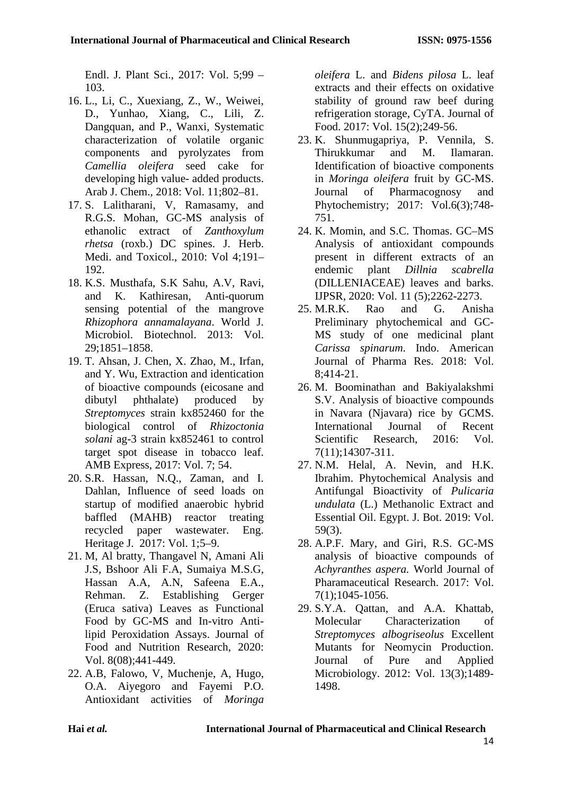Endl. J. Plant Sci., 2017: Vol. 5;99 – 103.

- 16. L., Li, C., Xuexiang, Z., W., Weiwei, D., Yunhao, Xiang, C., Lili, Z. Dangquan, and P., Wanxi, Systematic characterization of volatile organic components and pyrolyzates from *Camellia oleifera* seed cake for developing high value- added products. Arab J. Chem., 2018: Vol. 11;802–81.
- 17. S. Lalitharani, V, Ramasamy, and R.G.S. Mohan, GC-MS analysis of ethanolic extract of *Zanthoxylum rhetsa* (roxb.) DC spines. J. Herb. Medi. and Toxicol., 2010: Vol 4;191– 192.
- 18. K.S. Musthafa, S.K Sahu, A.V, Ravi, and K. Kathiresan, Anti-quorum sensing potential of the mangrove *Rhizophora annamalayana*. World J. Microbiol. Biotechnol. 2013: Vol. 29;1851–1858.
- 19. T. Ahsan, J. Chen, X. Zhao, M., Irfan, and Y. Wu, Extraction and identication of bioactive compounds (eicosane and dibutyl phthalate) produced by *Streptomyces* strain kx852460 for the biological control of *Rhizoctonia solani* ag-3 strain kx852461 to control target spot disease in tobacco leaf. AMB Express, 2017: Vol. 7; 54.
- 20. S.R. Hassan, N.Q., Zaman, and I. Dahlan, Influence of seed loads on startup of modified anaerobic hybrid baffled (MAHB) reactor treating recycled paper wastewater. Eng. Heritage J. 2017: Vol. 1;5–9.
- 21. M, Al bratty, Thangavel N, Amani Ali J.S, Bshoor Ali F.A, Sumaiya M.S.G, Hassan A.A, A.N, Safeena E.A., Rehman. Z. Establishing Gerger (Eruca sativa) Leaves as Functional Food by GC-MS and In-vitro Antilipid Peroxidation Assays. Journal of Food and Nutrition Research, 2020: Vol. 8(08);441-449.
- 22. A.B, Falowo, V, Muchenje, A, Hugo, O.A. Aiyegoro and Fayemi P.O. Antioxidant activities of *Moringa*

*oleifera* L. and *Bidens pilosa* L. leaf extracts and their effects on oxidative stability of ground raw beef during refrigeration storage, CyTA. Journal of Food. 2017: Vol. 15(2);249-56.

- 23. K. Shunmugapriya, P. Vennila, S. Thirukkumar and M. Ilamaran. Identification of bioactive components in *Moringa oleifera* fruit by GC-MS. Journal of Pharmacognosy and Phytochemistry; 2017: Vol.6(3);748- 751.
- 24. K. Momin, and S.C. Thomas. GC–MS Analysis of antioxidant compounds present in different extracts of an endemic plant *Dillnia scabrella* (DILLENIACEAE) leaves and barks. IJPSR, 2020: Vol. 11 (5);2262-2273.
- 25. M.R.K. Rao and G. Anisha Preliminary phytochemical and GC-MS study of one medicinal plant *Carissa spinarum*. Indo. American Journal of Pharma Res. 2018: Vol. 8;414-21.
- 26. M. Boominathan and Bakiyalakshmi S.V. Analysis of bioactive compounds in Navara (Njavara) rice by GCMS. International Journal of Recent Scientific Research, 2016: Vol. 7(11);14307-311.
- 27. N.M. Helal, A. Nevin, and H.K. Ibrahim. Phytochemical Analysis and Antifungal Bioactivity of *Pulicaria undulata* (L.) Methanolic Extract and Essential Oil. Egypt. J. Bot. 2019: Vol. 59(3).
- 28. A.P.F. Mary, and Giri, R.S. GC-MS analysis of bioactive compounds of *Achyranthes aspera.* World Journal of Pharamaceutical Research. 2017: Vol. 7(1);1045-1056.
- 29. S.Y.A. Qattan, and A.A. Khattab, Molecular Characterization of *Streptomyces albogriseolus* Excellent Mutants for Neomycin Production. [Journal of Pure and Applied](https://www.researchgate.net/journal/Journal-of-Pure-and-Applied-Microbiology-0973-7510)  [Microbiology.](https://www.researchgate.net/journal/Journal-of-Pure-and-Applied-Microbiology-0973-7510) 2012: Vol. 13(3);1489- 1498.